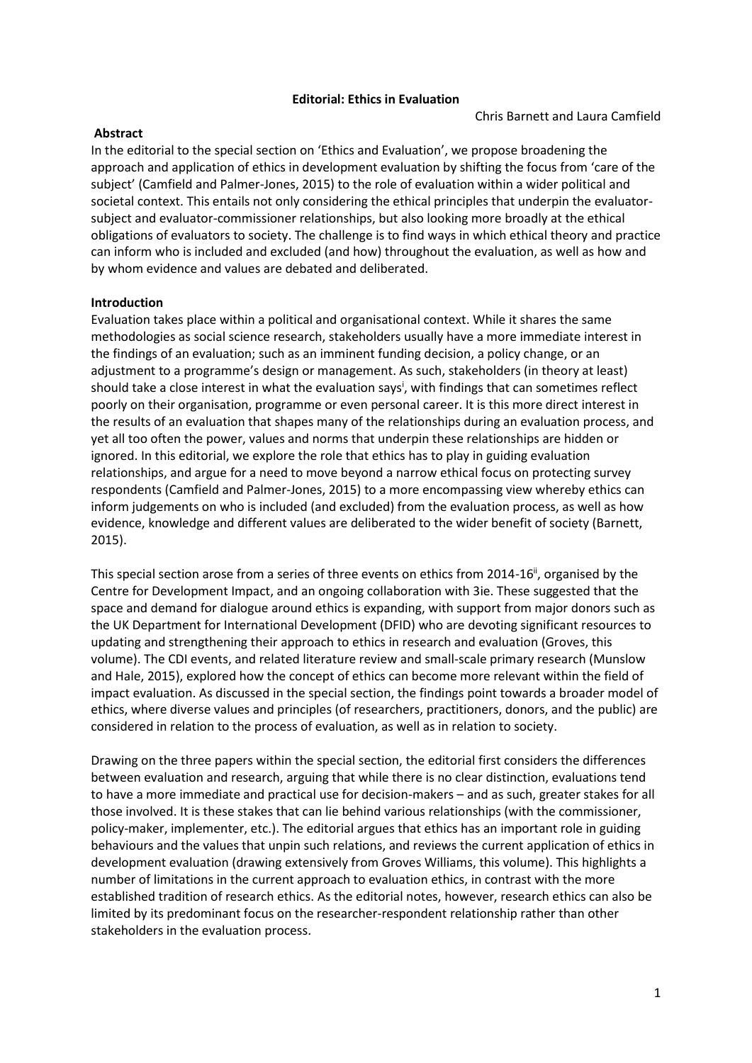#### **Editorial: Ethics in Evaluation**

Chris Barnett and Laura Camfield

## **Abstract**

In the editorial to the special section on 'Ethics and Evaluation', we propose broadening the approach and application of ethics in development evaluation by shifting the focus from 'care of the subject' (Camfield and Palmer-Jones, 2015) to the role of evaluation within a wider political and societal context. This entails not only considering the ethical principles that underpin the evaluatorsubject and evaluator-commissioner relationships, but also looking more broadly at the ethical obligations of evaluators to society. The challenge is to find ways in which ethical theory and practice can inform who is included and excluded (and how) throughout the evaluation, as well as how and by whom evidence and values are debated and deliberated.

## **Introduction**

Evaluation takes place within a political and organisational context. While it shares the same methodologies as social science research, stakeholders usually have a more immediate interest in the findings of an evaluation; such as an imminent funding decision, a policy change, or an adjustment to a programme's design or management. As such, stakeholders (in theory at least) should take a close interest in what the evaluation says<sup>i</sup>, with findings that can sometimes reflect poorly on their organisation, programme or even personal career. It is this more direct interest in the results of an evaluation that shapes many of the relationships during an evaluation process, and yet all too often the power, values and norms that underpin these relationships are hidden or ignored. In this editorial, we explore the role that ethics has to play in guiding evaluation relationships, and argue for a need to move beyond a narrow ethical focus on protecting survey respondents (Camfield and Palmer-Jones, 2015) to a more encompassing view whereby ethics can inform judgements on who is included (and excluded) from the evaluation process, as well as how evidence, knowledge and different values are deliberated to the wider benefit of society (Barnett, 2015).

This special section arose from a series of three events on ethics from  $2014-16$ <sup>ii</sup>, organised by the Centre for Development Impact, and an ongoing collaboration with 3ie. These suggested that the space and demand for dialogue around ethics is expanding, with support from major donors such as the UK Department for International Development (DFID) who are devoting significant resources to updating and strengthening their approach to ethics in research and evaluation (Groves, this volume). The CDI events, and related literature review and small-scale primary research (Munslow and Hale, 2015), explored how the concept of ethics can become more relevant within the field of impact evaluation. As discussed in the special section, the findings point towards a broader model of ethics, where diverse values and principles (of researchers, practitioners, donors, and the public) are considered in relation to the process of evaluation, as well as in relation to society.

Drawing on the three papers within the special section, the editorial first considers the differences between evaluation and research, arguing that while there is no clear distinction, evaluations tend to have a more immediate and practical use for decision-makers – and as such, greater stakes for all those involved. It is these stakes that can lie behind various relationships (with the commissioner, policy-maker, implementer, etc.). The editorial argues that ethics has an important role in guiding behaviours and the values that unpin such relations, and reviews the current application of ethics in development evaluation (drawing extensively from Groves Williams, this volume). This highlights a number of limitations in the current approach to evaluation ethics, in contrast with the more established tradition of research ethics. As the editorial notes, however, research ethics can also be limited by its predominant focus on the researcher-respondent relationship rather than other stakeholders in the evaluation process.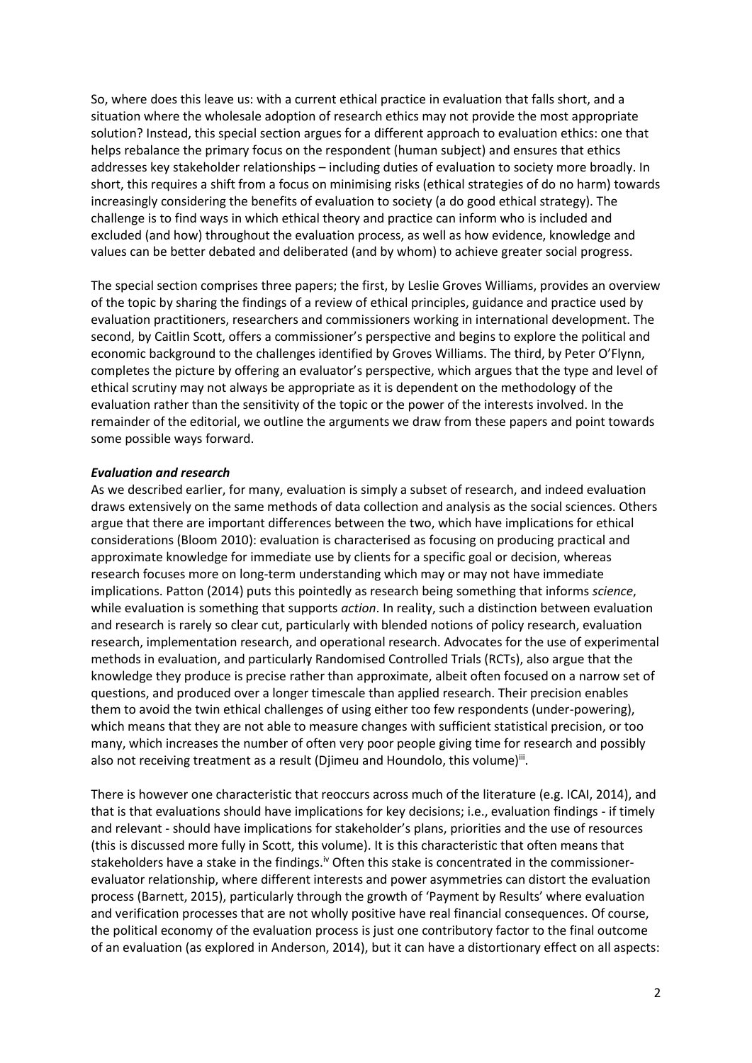So, where does this leave us: with a current ethical practice in evaluation that falls short, and a situation where the wholesale adoption of research ethics may not provide the most appropriate solution? Instead, this special section argues for a different approach to evaluation ethics: one that helps rebalance the primary focus on the respondent (human subject) and ensures that ethics addresses key stakeholder relationships – including duties of evaluation to society more broadly. In short, this requires a shift from a focus on minimising risks (ethical strategies of do no harm) towards increasingly considering the benefits of evaluation to society (a do good ethical strategy). The challenge is to find ways in which ethical theory and practice can inform who is included and excluded (and how) throughout the evaluation process, as well as how evidence, knowledge and values can be better debated and deliberated (and by whom) to achieve greater social progress.

The special section comprises three papers; the first, by Leslie Groves Williams, provides an overview of the topic by sharing the findings of a review of ethical principles, guidance and practice used by evaluation practitioners, researchers and commissioners working in international development. The second, by Caitlin Scott, offers a commissioner's perspective and begins to explore the political and economic background to the challenges identified by Groves Williams. The third, by Peter O'Flynn, completes the picture by offering an evaluator's perspective, which argues that the type and level of ethical scrutiny may not always be appropriate as it is dependent on the methodology of the evaluation rather than the sensitivity of the topic or the power of the interests involved. In the remainder of the editorial, we outline the arguments we draw from these papers and point towards some possible ways forward.

### *Evaluation and research*

As we described earlier, for many, evaluation is simply a subset of research, and indeed evaluation draws extensively on the same methods of data collection and analysis as the social sciences. Others argue that there are important differences between the two, which have implications for ethical considerations (Bloom 2010): evaluation is characterised as focusing on producing practical and approximate knowledge for immediate use by clients for a specific goal or decision, whereas research focuses more on long-term understanding which may or may not have immediate implications. Patton (2014) puts this pointedly as research being something that informs *science*, while evaluation is something that supports *action*. In reality, such a distinction between evaluation and research is rarely so clear cut, particularly with blended notions of policy research, evaluation research, implementation research, and operational research. Advocates for the use of experimental methods in evaluation, and particularly Randomised Controlled Trials (RCTs), also argue that the knowledge they produce is precise rather than approximate, albeit often focused on a narrow set of questions, and produced over a longer timescale than applied research. Their precision enables them to avoid the twin ethical challenges of using either too few respondents (under-powering), which means that they are not able to measure changes with sufficient statistical precision, or too many, which increases the number of often very poor people giving time for research and possibly also not receiving treatment as a result (Djimeu and Houndolo, this volume)<sup>iii</sup>.

There is however one characteristic that reoccurs across much of the literature (e.g. ICAI, 2014), and that is that evaluations should have implications for key decisions; i.e., evaluation findings - if timely and relevant - should have implications for stakeholder's plans, priorities and the use of resources (this is discussed more fully in Scott, this volume). It is this characteristic that often means that stakeholders have a stake in the findings.<sup>iv</sup> Often this stake is concentrated in the commissionerevaluator relationship, where different interests and power asymmetries can distort the evaluation process (Barnett, 2015), particularly through the growth of 'Payment by Results' where evaluation and verification processes that are not wholly positive have real financial consequences. Of course, the political economy of the evaluation process is just one contributory factor to the final outcome of an evaluation (as explored in Anderson, 2014), but it can have a distortionary effect on all aspects: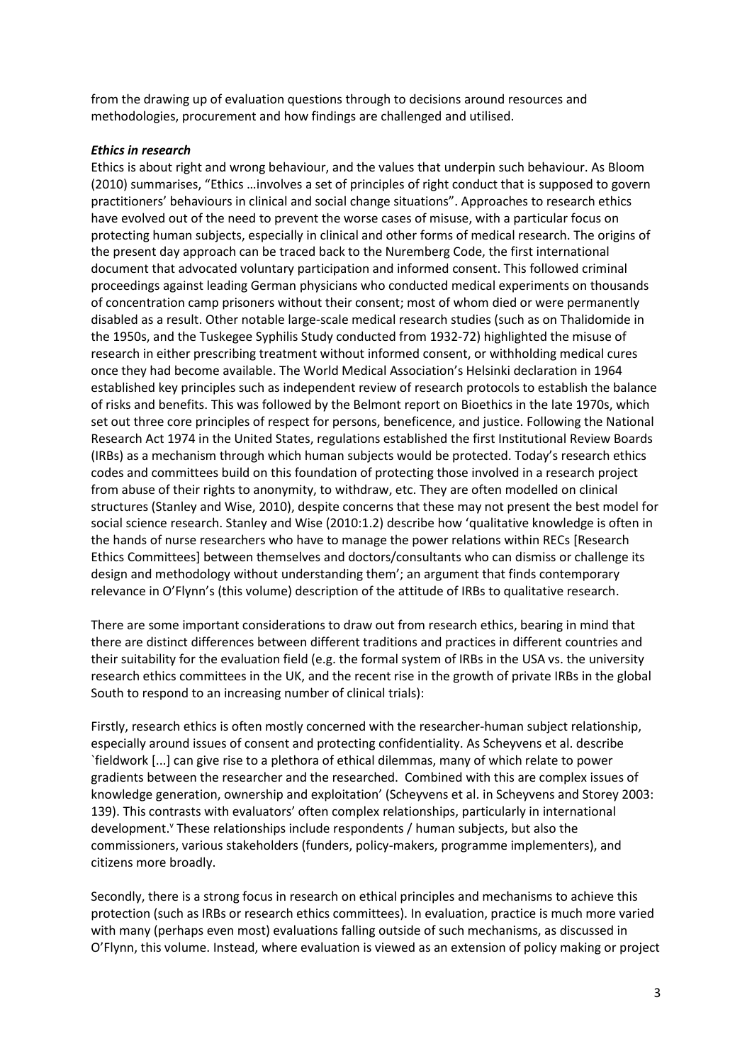from the drawing up of evaluation questions through to decisions around resources and methodologies, procurement and how findings are challenged and utilised.

# *Ethics in research*

Ethics is about right and wrong behaviour, and the values that underpin such behaviour. As Bloom (2010) summarises, "Ethics …involves a set of principles of right conduct that is supposed to govern practitioners' behaviours in clinical and social change situations". Approaches to research ethics have evolved out of the need to prevent the worse cases of misuse, with a particular focus on protecting human subjects, especially in clinical and other forms of medical research. The origins of the present day approach can be traced back to the Nuremberg Code, the first international document that advocated voluntary participation and informed consent. This followed criminal proceedings against leading German physicians who conducted medical experiments on thousands of concentration camp prisoners without their consent; most of whom died or were permanently disabled as a result. Other notable large-scale medical research studies (such as on Thalidomide in the 1950s, and the Tuskegee Syphilis Study conducted from 1932-72) highlighted the misuse of research in either prescribing treatment without informed consent, or withholding medical cures once they had become available. The World Medical Association's Helsinki declaration in 1964 established key principles such as independent review of research protocols to establish the balance of risks and benefits. This was followed by the Belmont report on Bioethics in the late 1970s, which set out three core principles of respect for persons, beneficence, and justice. Following the National Research Act 1974 in the United States, regulations established the first Institutional Review Boards (IRBs) as a mechanism through which human subjects would be protected. Today's research ethics codes and committees build on this foundation of protecting those involved in a research project from abuse of their rights to anonymity, to withdraw, etc. They are often modelled on clinical structures (Stanley and Wise, 2010), despite concerns that these may not present the best model for social science research. Stanley and Wise (2010:1.2) describe how 'qualitative knowledge is often in the hands of nurse researchers who have to manage the power relations within RECs [Research Ethics Committees] between themselves and doctors/consultants who can dismiss or challenge its design and methodology without understanding them'; an argument that finds contemporary relevance in O'Flynn's (this volume) description of the attitude of IRBs to qualitative research.

There are some important considerations to draw out from research ethics, bearing in mind that there are distinct differences between different traditions and practices in different countries and their suitability for the evaluation field (e.g. the formal system of IRBs in the USA vs. the university research ethics committees in the UK, and the recent rise in the growth of private IRBs in the global South to respond to an increasing number of clinical trials):

Firstly, research ethics is often mostly concerned with the researcher-human subject relationship, especially around issues of consent and protecting confidentiality. As Scheyvens et al. describe `fieldwork [...] can give rise to a plethora of ethical dilemmas, many of which relate to power gradients between the researcher and the researched. Combined with this are complex issues of knowledge generation, ownership and exploitation' (Scheyvens et al. in Scheyvens and Storey 2003: 139). This contrasts with evaluators' often complex relationships, particularly in international development.<sup>v</sup> These relationships include respondents / human subjects, but also the commissioners, various stakeholders (funders, policy-makers, programme implementers), and citizens more broadly.

Secondly, there is a strong focus in research on ethical principles and mechanisms to achieve this protection (such as IRBs or research ethics committees). In evaluation, practice is much more varied with many (perhaps even most) evaluations falling outside of such mechanisms, as discussed in O'Flynn, this volume. Instead, where evaluation is viewed as an extension of policy making or project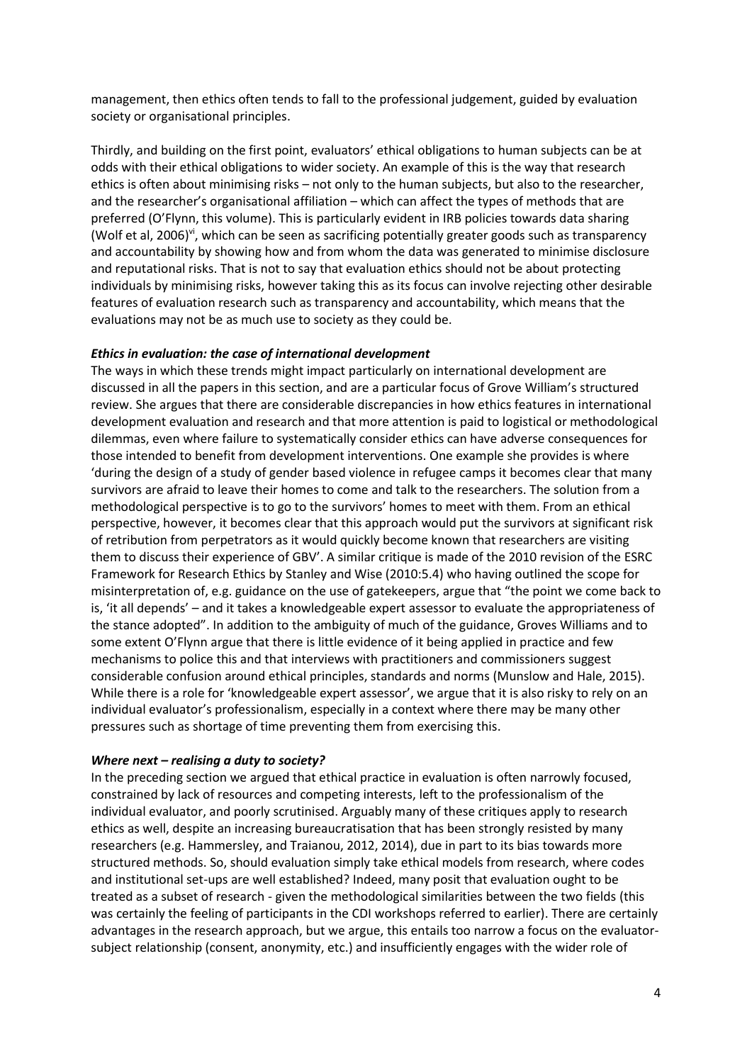management, then ethics often tends to fall to the professional judgement, guided by evaluation society or organisational principles.

Thirdly, and building on the first point, evaluators' ethical obligations to human subjects can be at odds with their ethical obligations to wider society. An example of this is the way that research ethics is often about minimising risks – not only to the human subjects, but also to the researcher, and the researcher's organisational affiliation – which can affect the types of methods that are preferred (O'Flynn, this volume). This is particularly evident in IRB policies towards data sharing (Wolf et al, 2006)<sup>vi</sup>, which can be seen as sacrificing potentially greater goods such as transparency and accountability by showing how and from whom the data was generated to minimise disclosure and reputational risks. That is not to say that evaluation ethics should not be about protecting individuals by minimising risks, however taking this as its focus can involve rejecting other desirable features of evaluation research such as transparency and accountability, which means that the evaluations may not be as much use to society as they could be.

### *Ethics in evaluation: the case of international development*

The ways in which these trends might impact particularly on international development are discussed in all the papers in this section, and are a particular focus of Grove William's structured review. She argues that there are considerable discrepancies in how ethics features in international development evaluation and research and that more attention is paid to logistical or methodological dilemmas, even where failure to systematically consider ethics can have adverse consequences for those intended to benefit from development interventions. One example she provides is where 'during the design of a study of gender based violence in refugee camps it becomes clear that many survivors are afraid to leave their homes to come and talk to the researchers. The solution from a methodological perspective is to go to the survivors' homes to meet with them. From an ethical perspective, however, it becomes clear that this approach would put the survivors at significant risk of retribution from perpetrators as it would quickly become known that researchers are visiting them to discuss their experience of GBV'. A similar critique is made of the 2010 revision of the ESRC Framework for Research Ethics by Stanley and Wise (2010:5.4) who having outlined the scope for misinterpretation of, e.g. guidance on the use of gatekeepers, argue that "the point we come back to is, 'it all depends' – and it takes a knowledgeable expert assessor to evaluate the appropriateness of the stance adopted". In addition to the ambiguity of much of the guidance, Groves Williams and to some extent O'Flynn argue that there is little evidence of it being applied in practice and few mechanisms to police this and that interviews with practitioners and commissioners suggest considerable confusion around ethical principles, standards and norms (Munslow and Hale, 2015). While there is a role for 'knowledgeable expert assessor', we argue that it is also risky to rely on an individual evaluator's professionalism, especially in a context where there may be many other pressures such as shortage of time preventing them from exercising this.

#### *Where next – realising a duty to society?*

In the preceding section we argued that ethical practice in evaluation is often narrowly focused, constrained by lack of resources and competing interests, left to the professionalism of the individual evaluator, and poorly scrutinised. Arguably many of these critiques apply to research ethics as well, despite an increasing bureaucratisation that has been strongly resisted by many researchers (e.g. Hammersley, and Traianou, 2012, 2014), due in part to its bias towards more structured methods. So, should evaluation simply take ethical models from research, where codes and institutional set-ups are well established? Indeed, many posit that evaluation ought to be treated as a subset of research - given the methodological similarities between the two fields (this was certainly the feeling of participants in the CDI workshops referred to earlier). There are certainly advantages in the research approach, but we argue, this entails too narrow a focus on the evaluatorsubject relationship (consent, anonymity, etc.) and insufficiently engages with the wider role of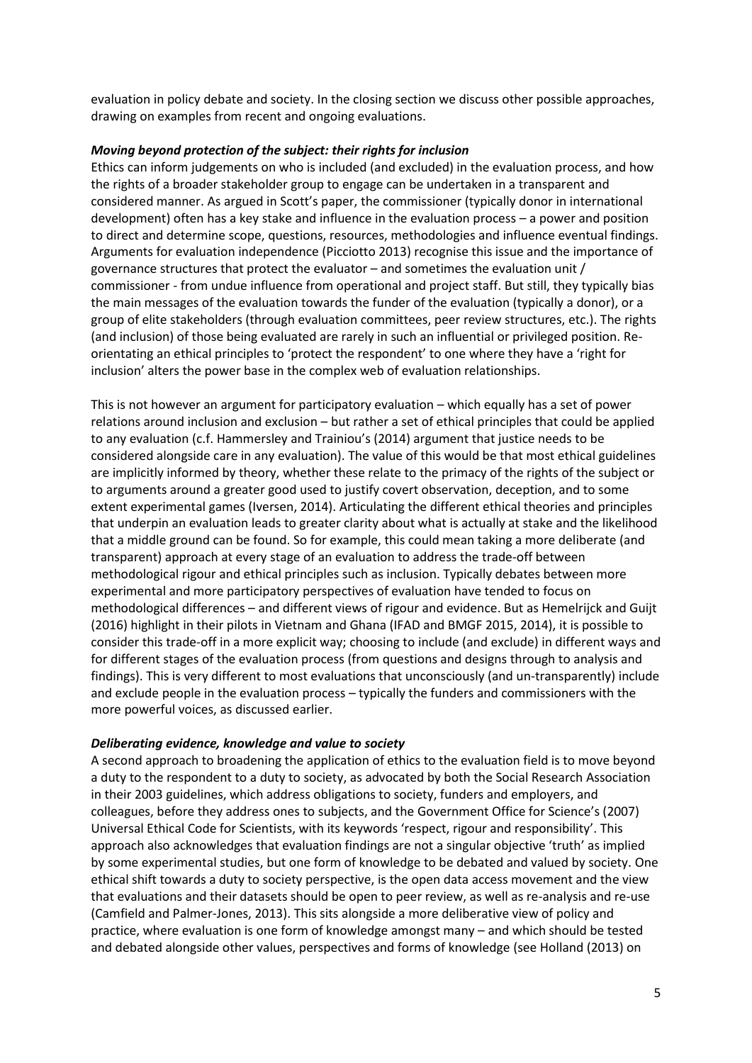evaluation in policy debate and society. In the closing section we discuss other possible approaches, drawing on examples from recent and ongoing evaluations.

#### *Moving beyond protection of the subject: their rights for inclusion*

Ethics can inform judgements on who is included (and excluded) in the evaluation process, and how the rights of a broader stakeholder group to engage can be undertaken in a transparent and considered manner. As argued in Scott's paper, the commissioner (typically donor in international development) often has a key stake and influence in the evaluation process – a power and position to direct and determine scope, questions, resources, methodologies and influence eventual findings. Arguments for evaluation independence (Picciotto 2013) recognise this issue and the importance of governance structures that protect the evaluator – and sometimes the evaluation unit / commissioner - from undue influence from operational and project staff. But still, they typically bias the main messages of the evaluation towards the funder of the evaluation (typically a donor), or a group of elite stakeholders (through evaluation committees, peer review structures, etc.). The rights (and inclusion) of those being evaluated are rarely in such an influential or privileged position. Reorientating an ethical principles to 'protect the respondent' to one where they have a 'right for inclusion' alters the power base in the complex web of evaluation relationships.

This is not however an argument for participatory evaluation – which equally has a set of power relations around inclusion and exclusion – but rather a set of ethical principles that could be applied to any evaluation (c.f. Hammersley and Trainiou's (2014) argument that justice needs to be considered alongside care in any evaluation). The value of this would be that most ethical guidelines are implicitly informed by theory, whether these relate to the primacy of the rights of the subject or to arguments around a greater good used to justify covert observation, deception, and to some extent experimental games (Iversen, 2014). Articulating the different ethical theories and principles that underpin an evaluation leads to greater clarity about what is actually at stake and the likelihood that a middle ground can be found. So for example, this could mean taking a more deliberate (and transparent) approach at every stage of an evaluation to address the trade-off between methodological rigour and ethical principles such as inclusion. Typically debates between more experimental and more participatory perspectives of evaluation have tended to focus on methodological differences – and different views of rigour and evidence. But as Hemelrijck and Guijt (2016) highlight in their pilots in Vietnam and Ghana (IFAD and BMGF 2015, 2014), it is possible to consider this trade-off in a more explicit way; choosing to include (and exclude) in different ways and for different stages of the evaluation process (from questions and designs through to analysis and findings). This is very different to most evaluations that unconsciously (and un-transparently) include and exclude people in the evaluation process – typically the funders and commissioners with the more powerful voices, as discussed earlier.

#### *Deliberating evidence, knowledge and value to society*

A second approach to broadening the application of ethics to the evaluation field is to move beyond a duty to the respondent to a duty to society, as advocated by both the Social Research Association in their 2003 guidelines, which address obligations to society, funders and employers, and colleagues, before they address ones to subjects, and the Government Office for Science's (2007) Universal Ethical Code for Scientists, with its keywords 'respect, rigour and responsibility'. This approach also acknowledges that evaluation findings are not a singular objective 'truth' as implied by some experimental studies, but one form of knowledge to be debated and valued by society. One ethical shift towards a duty to society perspective, is the open data access movement and the view that evaluations and their datasets should be open to peer review, as well as re-analysis and re-use (Camfield and Palmer-Jones, 2013). This sits alongside a more deliberative view of policy and practice, where evaluation is one form of knowledge amongst many – and which should be tested and debated alongside other values, perspectives and forms of knowledge (see Holland (2013) on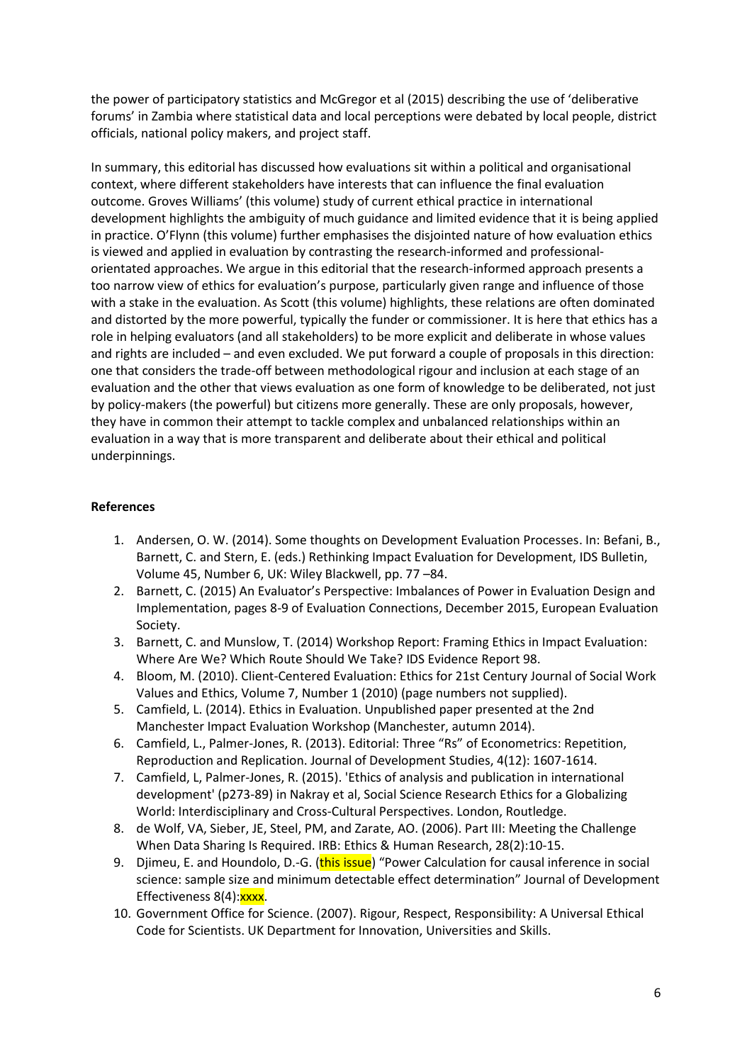the power of participatory statistics and McGregor et al (2015) describing the use of 'deliberative forums' in Zambia where statistical data and local perceptions were debated by local people, district officials, national policy makers, and project staff.

In summary, this editorial has discussed how evaluations sit within a political and organisational context, where different stakeholders have interests that can influence the final evaluation outcome. Groves Williams' (this volume) study of current ethical practice in international development highlights the ambiguity of much guidance and limited evidence that it is being applied in practice. O'Flynn (this volume) further emphasises the disjointed nature of how evaluation ethics is viewed and applied in evaluation by contrasting the research-informed and professionalorientated approaches. We argue in this editorial that the research-informed approach presents a too narrow view of ethics for evaluation's purpose, particularly given range and influence of those with a stake in the evaluation. As Scott (this volume) highlights, these relations are often dominated and distorted by the more powerful, typically the funder or commissioner. It is here that ethics has a role in helping evaluators (and all stakeholders) to be more explicit and deliberate in whose values and rights are included – and even excluded. We put forward a couple of proposals in this direction: one that considers the trade-off between methodological rigour and inclusion at each stage of an evaluation and the other that views evaluation as one form of knowledge to be deliberated, not just by policy-makers (the powerful) but citizens more generally. These are only proposals, however, they have in common their attempt to tackle complex and unbalanced relationships within an evaluation in a way that is more transparent and deliberate about their ethical and political underpinnings.

# **References**

- 1. Andersen, O. W. (2014). Some thoughts on Development Evaluation Processes. In: Befani, B., Barnett, C. and Stern, E. (eds.) Rethinking Impact Evaluation for Development, IDS Bulletin, Volume 45, Number 6, UK: Wiley Blackwell, pp. 77 –84.
- 2. Barnett, C. (2015) An Evaluator's Perspective: Imbalances of Power in Evaluation Design and Implementation, pages 8-9 of Evaluation Connections, December 2015, European Evaluation Society.
- 3. Barnett, C. and Munslow, T. (2014) Workshop Report: Framing Ethics in Impact Evaluation: Where Are We? Which Route Should We Take? IDS Evidence Report 98.
- 4. Bloom, M. (2010). Client-Centered Evaluation: Ethics for 21st Century Journal of Social Work Values and Ethics, Volume 7, Number 1 (2010) (page numbers not supplied).
- 5. Camfield, L. (2014). Ethics in Evaluation. Unpublished paper presented at the 2nd Manchester Impact Evaluation Workshop (Manchester, autumn 2014).
- 6. Camfield, L., Palmer-Jones, R. (2013). Editorial: Three "Rs" of Econometrics: Repetition, Reproduction and Replication. Journal of Development Studies, 4(12): 1607-1614.
- 7. Camfield, L, Palmer-Jones, R. (2015). 'Ethics of analysis and publication in international development' (p273-89) in Nakray et al, Social Science Research Ethics for a Globalizing World: Interdisciplinary and Cross-Cultural Perspectives. London, Routledge.
- 8. de Wolf, VA, Sieber, JE, Steel, PM, and Zarate, AO. (2006). Part III: Meeting the Challenge When Data Sharing Is Required. IRB: Ethics & Human Research, 28(2):10-15.
- 9. Djimeu, E. and Houndolo, D.-G. (this issue) "Power Calculation for causal inference in social science: sample size and minimum detectable effect determination" Journal of Development Effectiveness 8(4): XXXX.
- 10. Government Office for Science. (2007). Rigour, Respect, Responsibility: A Universal Ethical Code for Scientists. UK Department for Innovation, Universities and Skills.